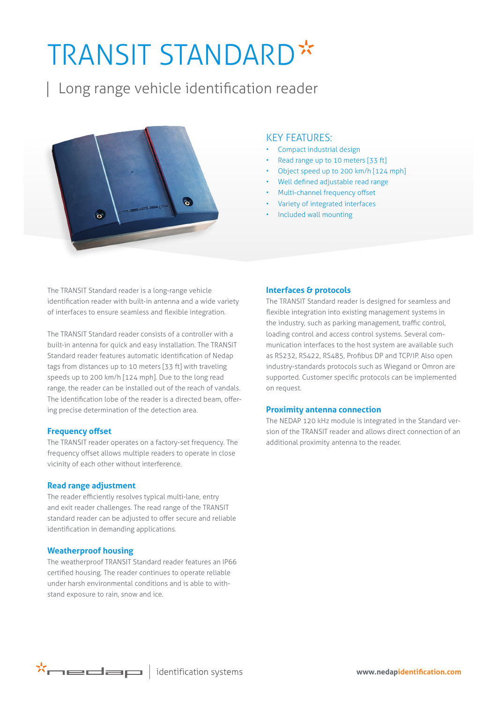# TRANSIT STANDARD\*

| Long range vehicle identification reader



### KEY FEATURES:

- Compact industrial design
- Read range up to 10 meters [33 ft]
- Object speed up to 200 km/h [124 mph]
- Well defined adjustable read range
- Multi-channel frequency offset
- Variety of integrated interfaces
- Included wall mounting

The TRANSIT Standard reader is a long-range vehicle identification reader with built-in antenna and a wide variety of interfaces to ensure seamless and flexible integration.

The TRANSIT Standard reader consists of a controller with a built-in antenna for quick and easy installation. The TRANSIT Standard reader features automatic identification of Nedap tags from distances up to 10 meters [33 ft] with traveling speeds up to 200 km/h [124 mph]. Due to the long read range, the reader can be installed out of the reach of vandals. The identification lobe of the reader is a directed beam, offering precise determination of the detection area.

#### **Frequency offset**

The TRANSIT reader operates on a factory-set frequency. The frequency offset allows multiple readers to operate in close vicinity of each other without interference.

#### **Read range adjustment**

The reader efficiently resolves typical multi-lane, entry and exit reader challenges. The read range of the TRANSIT standard reader can be adjusted to offer secure and reliable identification in demanding applications.

#### **Weatherproof housing**

The weatherproof TRANSIT Standard reader features an IP66 certified housing. The reader continues to operate reliable under harsh environmental conditions and is able to withstand exposure to rain, snow and ice.

#### **Interfaces & protocols**

The TRANSIT Standard reader is designed for seamless and flexible integration into existing management systems in the industry, such as parking management, traffic control, loading control and access control systems. Several communication interfaces to the host system are available such as RS232, RS422, RS485, Profibus DP and TCP/IP. Also open industry-standards protocols such as Wiegand or Omron are supported. Customer specific protocols can be implemented on request.

#### **Proximity antenna connection**

The NEDAP 120 kHz module is integrated in the Standard version of the TRANSIT reader and allows direct connection of an additional proximity antenna to the reader.